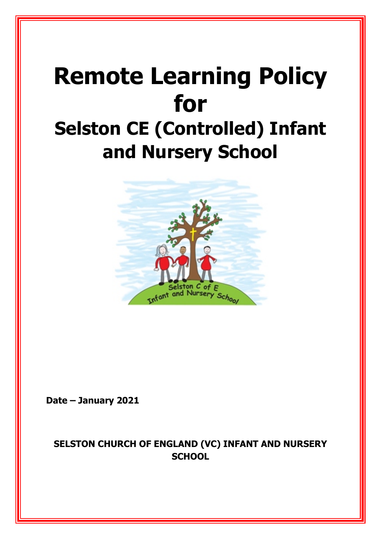# **Remote Learning Policy for Selston CE (Controlled) Infant and Nursery School**



**Date – January 2021**

# **SELSTON CHURCH OF ENGLAND (VC) INFANT AND NURSERY SCHOOL**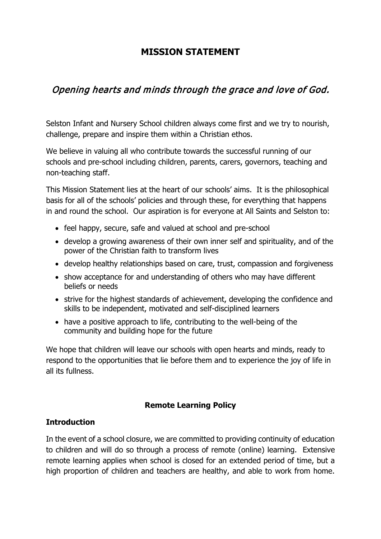## **MISSION STATEMENT**

# Opening hearts and minds through the grace and love of God.

Selston Infant and Nursery School children always come first and we try to nourish, challenge, prepare and inspire them within a Christian ethos.

We believe in valuing all who contribute towards the successful running of our schools and pre-school including children, parents, carers, governors, teaching and non-teaching staff.

This Mission Statement lies at the heart of our schools' aims. It is the philosophical basis for all of the schools' policies and through these, for everything that happens in and round the school. Our aspiration is for everyone at All Saints and Selston to:

- feel happy, secure, safe and valued at school and pre-school
- develop a growing awareness of their own inner self and spirituality, and of the power of the Christian faith to transform lives
- develop healthy relationships based on care, trust, compassion and forgiveness
- show acceptance for and understanding of others who may have different beliefs or needs
- strive for the highest standards of achievement, developing the confidence and skills to be independent, motivated and self-disciplined learners
- have a positive approach to life, contributing to the well-being of the community and building hope for the future

We hope that children will leave our schools with open hearts and minds, ready to respond to the opportunities that lie before them and to experience the joy of life in all its fullness.

## **Remote Learning Policy**

## **Introduction**

In the event of a school closure, we are committed to providing continuity of education to children and will do so through a process of remote (online) learning. Extensive remote learning applies when school is closed for an extended period of time, but a high proportion of children and teachers are healthy, and able to work from home.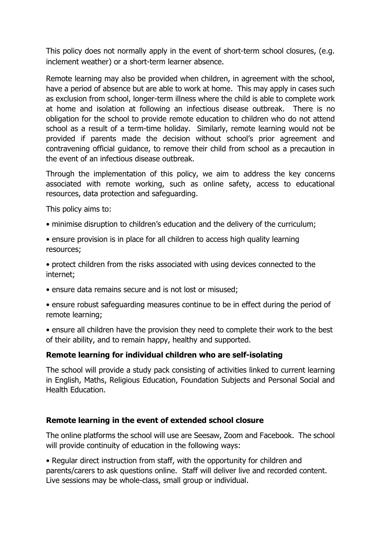This policy does not normally apply in the event of short-term school closures, (e.g. inclement weather) or a short-term learner absence.

Remote learning may also be provided when children, in agreement with the school, have a period of absence but are able to work at home. This may apply in cases such as exclusion from school, longer-term illness where the child is able to complete work at home and isolation at following an infectious disease outbreak. There is no obligation for the school to provide remote education to children who do not attend school as a result of a term-time holiday. Similarly, remote learning would not be provided if parents made the decision without school's prior agreement and contravening official guidance, to remove their child from school as a precaution in the event of an infectious disease outbreak.

Through the implementation of this policy, we aim to address the key concerns associated with remote working, such as online safety, access to educational resources, data protection and safeguarding.

This policy aims to:

- minimise disruption to children's education and the delivery of the curriculum;
- ensure provision is in place for all children to access high quality learning resources;
- protect children from the risks associated with using devices connected to the internet;
- ensure data remains secure and is not lost or misused;

• ensure robust safeguarding measures continue to be in effect during the period of remote learning;

• ensure all children have the provision they need to complete their work to the best of their ability, and to remain happy, healthy and supported.

#### **Remote learning for individual children who are self-isolating**

The school will provide a study pack consisting of activities linked to current learning in English, Maths, Religious Education, Foundation Subjects and Personal Social and Health Education.

#### **Remote learning in the event of extended school closure**

The online platforms the school will use are Seesaw, Zoom and Facebook. The school will provide continuity of education in the following ways:

• Regular direct instruction from staff, with the opportunity for children and parents/carers to ask questions online. Staff will deliver live and recorded content. Live sessions may be whole-class, small group or individual.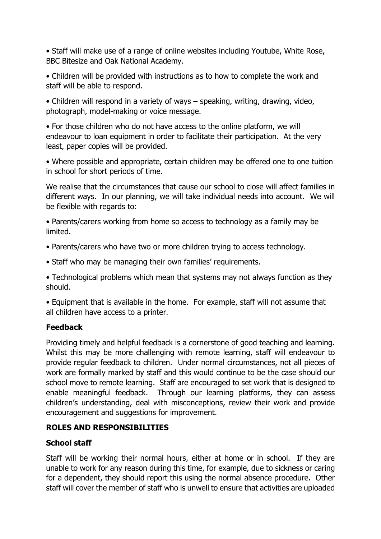• Staff will make use of a range of online websites including Youtube, White Rose, BBC Bitesize and Oak National Academy.

• Children will be provided with instructions as to how to complete the work and staff will be able to respond.

• Children will respond in a variety of ways – speaking, writing, drawing, video, photograph, model-making or voice message.

• For those children who do not have access to the online platform, we will endeavour to loan equipment in order to facilitate their participation. At the very least, paper copies will be provided.

• Where possible and appropriate, certain children may be offered one to one tuition in school for short periods of time.

We realise that the circumstances that cause our school to close will affect families in different ways. In our planning, we will take individual needs into account. We will be flexible with regards to:

• Parents/carers working from home so access to technology as a family may be limited.

- Parents/carers who have two or more children trying to access technology.
- Staff who may be managing their own families' requirements.

• Technological problems which mean that systems may not always function as they should.

• Equipment that is available in the home. For example, staff will not assume that all children have access to a printer.

## **Feedback**

Providing timely and helpful feedback is a cornerstone of good teaching and learning. Whilst this may be more challenging with remote learning, staff will endeavour to provide regular feedback to children. Under normal circumstances, not all pieces of work are formally marked by staff and this would continue to be the case should our school move to remote learning. Staff are encouraged to set work that is designed to enable meaningful feedback. Through our learning platforms, they can assess children's understanding, deal with misconceptions, review their work and provide encouragement and suggestions for improvement.

## **ROLES AND RESPONSIBILITIES**

## **School staff**

Staff will be working their normal hours, either at home or in school. If they are unable to work for any reason during this time, for example, due to sickness or caring for a dependent, they should report this using the normal absence procedure. Other staff will cover the member of staff who is unwell to ensure that activities are uploaded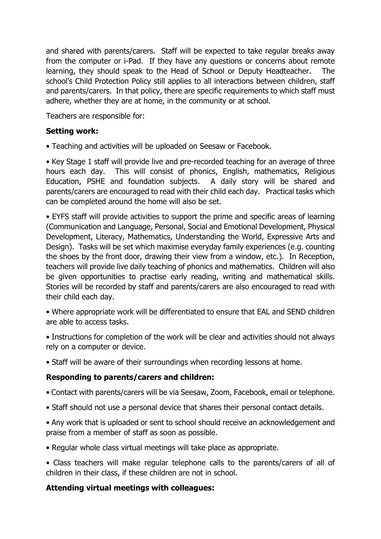and shared with parents/carers. Staff will be expected to take regular breaks away from the computer or i-Pad. If they have any questions or concerns about remote learning, they should speak to the Head of School or Deputy Headteacher. The school's Child Protection Policy still applies to all interactions between children, staff and parents/carers. In that policy, there are specific requirements to which staff must adhere, whether they are at home, in the community or at school.

Teachers are responsible for:

## **Setting work:**

• Teaching and activities will be uploaded on Seesaw or Facebook.

• Key Stage 1 staff will provide live and pre-recorded teaching for an average of three hours each day. This will consist of phonics, English, mathematics, Religious Education, PSHE and foundation subjects. A daily story will be shared and parents/carers are encouraged to read with their child each day. Practical tasks which can be completed around the home will also be set.

• EYFS staff will provide activities to support the prime and specific areas of learning (Communication and Language, Personal, Social and Emotional Development, Physical Development, Literacy, Mathematics, Understanding the World, Expressive Arts and Design). Tasks will be set which maximise everyday family experiences (e.g. counting the shoes by the front door, drawing their view from a window, etc.). In Reception, teachers will provide live daily teaching of phonics and mathematics. Children will also be given opportunities to practise early reading, writing and mathematical skills. Stories will be recorded by staff and parents/carers are also encouraged to read with their child each day.

• Where appropriate work will be differentiated to ensure that EAL and SEND children are able to access tasks.

• Instructions for completion of the work will be clear and activities should not always rely on a computer or device.

• Staff will be aware of their surroundings when recording lessons at home.

## **Responding to parents/carers and children:**

- Contact with parents/carers will be via Seesaw, Zoom, Facebook, email or telephone.
- Staff should not use a personal device that shares their personal contact details.
- Any work that is uploaded or sent to school should receive an acknowledgement and praise from a member of staff as soon as possible.
- Regular whole class virtual meetings will take place as appropriate.
- Class teachers will make regular telephone calls to the parents/carers of all of children in their class, if these children are not in school.

## **Attending virtual meetings with colleagues:**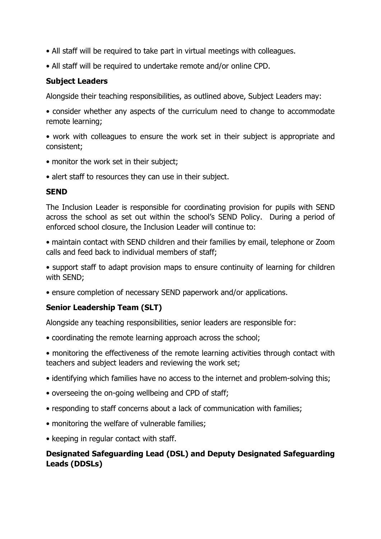- All staff will be required to take part in virtual meetings with colleagues.
- All staff will be required to undertake remote and/or online CPD.

#### **Subject Leaders**

Alongside their teaching responsibilities, as outlined above, Subject Leaders may:

• consider whether any aspects of the curriculum need to change to accommodate remote learning;

• work with colleagues to ensure the work set in their subject is appropriate and consistent;

- monitor the work set in their subject;
- alert staff to resources they can use in their subject.

#### **SEND**

The Inclusion Leader is responsible for coordinating provision for pupils with SEND across the school as set out within the school's SEND Policy. During a period of enforced school closure, the Inclusion Leader will continue to:

• maintain contact with SEND children and their families by email, telephone or Zoom calls and feed back to individual members of staff;

• support staff to adapt provision maps to ensure continuity of learning for children with SEND;

• ensure completion of necessary SEND paperwork and/or applications.

#### **Senior Leadership Team (SLT)**

Alongside any teaching responsibilities, senior leaders are responsible for:

• coordinating the remote learning approach across the school;

• monitoring the effectiveness of the remote learning activities through contact with teachers and subject leaders and reviewing the work set;

- identifying which families have no access to the internet and problem-solving this;
- overseeing the on-going wellbeing and CPD of staff;
- responding to staff concerns about a lack of communication with families;
- monitoring the welfare of vulnerable families;
- keeping in regular contact with staff.

## **Designated Safeguarding Lead (DSL) and Deputy Designated Safeguarding Leads (DDSLs)**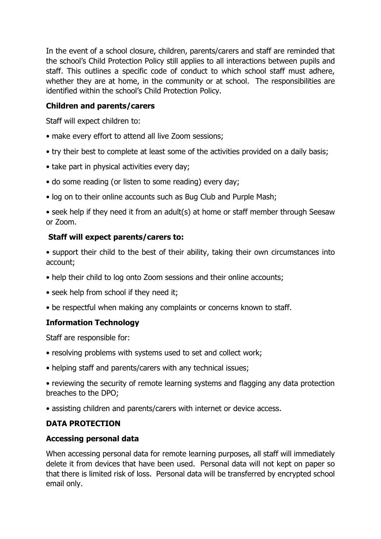In the event of a school closure, children, parents/carers and staff are reminded that the school's Child Protection Policy still applies to all interactions between pupils and staff. This outlines a specific code of conduct to which school staff must adhere, whether they are at home, in the community or at school. The responsibilities are identified within the school's Child Protection Policy.

## **Children and parents/carers**

Staff will expect children to:

- make every effort to attend all live Zoom sessions;
- try their best to complete at least some of the activities provided on a daily basis;
- take part in physical activities every day;
- do some reading (or listen to some reading) every day;
- log on to their online accounts such as Bug Club and Purple Mash;

• seek help if they need it from an adult(s) at home or staff member through Seesaw or Zoom.

## **Staff will expect parents/carers to:**

• support their child to the best of their ability, taking their own circumstances into account;

- help their child to log onto Zoom sessions and their online accounts;
- seek help from school if they need it;
- be respectful when making any complaints or concerns known to staff.

## **Information Technology**

Staff are responsible for:

- resolving problems with systems used to set and collect work;
- helping staff and parents/carers with any technical issues;
- reviewing the security of remote learning systems and flagging any data protection breaches to the DPO;
- assisting children and parents/carers with internet or device access.

## **DATA PROTECTION**

#### **Accessing personal data**

When accessing personal data for remote learning purposes, all staff will immediately delete it from devices that have been used. Personal data will not kept on paper so that there is limited risk of loss. Personal data will be transferred by encrypted school email only.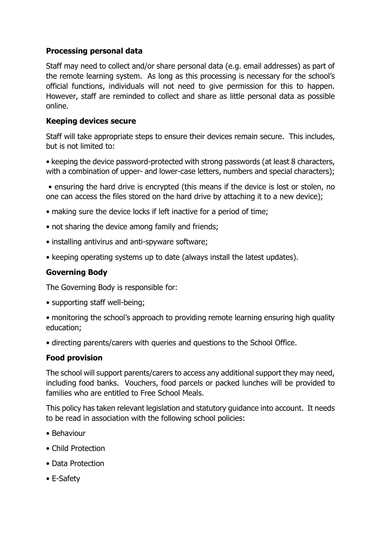## **Processing personal data**

Staff may need to collect and/or share personal data (e.g. email addresses) as part of the remote learning system. As long as this processing is necessary for the school's official functions, individuals will not need to give permission for this to happen. However, staff are reminded to collect and share as little personal data as possible online.

#### **Keeping devices secure**

Staff will take appropriate steps to ensure their devices remain secure. This includes, but is not limited to:

• keeping the device password-protected with strong passwords (at least 8 characters, with a combination of upper- and lower-case letters, numbers and special characters);

• ensuring the hard drive is encrypted (this means if the device is lost or stolen, no one can access the files stored on the hard drive by attaching it to a new device);

- making sure the device locks if left inactive for a period of time;
- not sharing the device among family and friends;
- installing antivirus and anti-spyware software;
- keeping operating systems up to date (always install the latest updates).

## **Governing Body**

The Governing Body is responsible for:

- supporting staff well-being;
- monitoring the school's approach to providing remote learning ensuring high quality education;
- directing parents/carers with queries and questions to the School Office.

#### **Food provision**

The school will support parents/carers to access any additional support they may need, including food banks. Vouchers, food parcels or packed lunches will be provided to families who are entitled to Free School Meals.

This policy has taken relevant legislation and statutory guidance into account. It needs to be read in association with the following school policies:

- Behaviour
- Child Protection
- Data Protection
- E-Safety